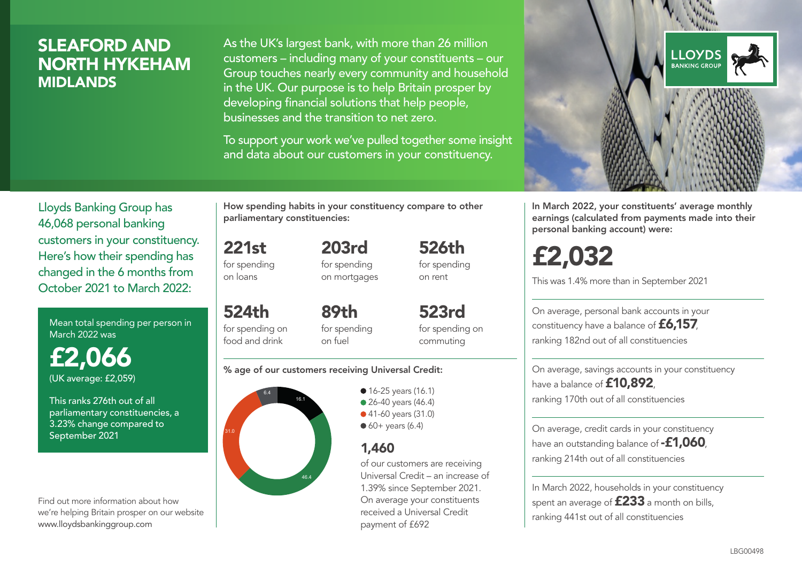## SLEAFORD AND NORTH HYKEHAM MIDLANDS

As the UK's largest bank, with more than 26 million customers – including many of your constituents – our Group touches nearly every community and household in the UK. Our purpose is to help Britain prosper by developing financial solutions that help people, businesses and the transition to net zero.

To support your work we've pulled together some insight and data about our customers in your constituency.



Mean total spending per person in March 2022 was

£2,066 (UK average: £2,059)

This ranks 276th out of all parliamentary constituencies, a 3.23% change compared to September 2021

Find out more information about how we're helping Britain prosper on our website www.lloydsbankinggroup.com

How spending habits in your constituency compare to other parliamentary constituencies:

> 203rd for spending

221st for spending on loans

on mortgages

524th for spending on food and drink 89th for spending on fuel

523rd for spending on commuting

526th for spending on rent

#### % age of our customers receiving Universal Credit:



**16-25 years (16.1)** • 26-40 years (46.4) ● 41-60 years (31.0)

 $60+$  years (6.4)

### 1,460

of our customers are receiving Universal Credit – an increase of 1.39% since September 2021. On average your constituents received a Universal Credit payment of £692



In March 2022, your constituents' average monthly earnings (calculated from payments made into their personal banking account) were:

# £2,032

This was 1.4% more than in September 2021

On average, personal bank accounts in your constituency have a balance of £6,157, ranking 182nd out of all constituencies

On average, savings accounts in your constituency have a balance of **£10,892** ranking 170th out of all constituencies

On average, credit cards in your constituency have an outstanding balance of **-£1,060**, ranking 214th out of all constituencies

In March 2022, households in your constituency spent an average of  $£233$  a month on bills, ranking 441st out of all constituencies